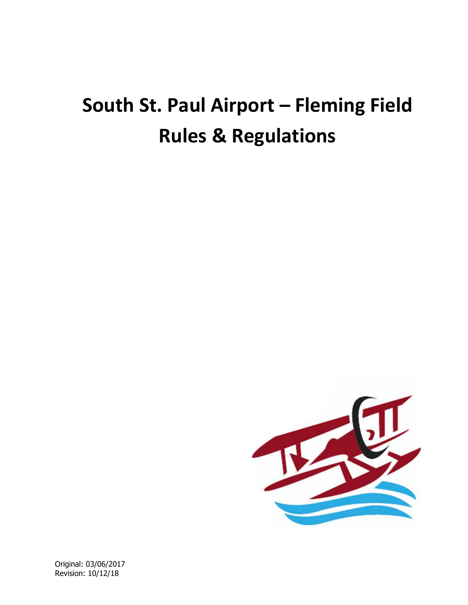# **South St. Paul Airport – Fleming Field Rules & Regulations**



Original: 03/06/2017 Revision: 10/12/18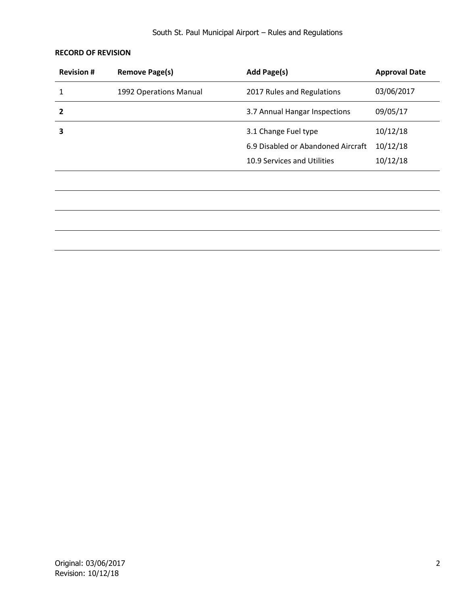# **RECORD OF REVISION**

| <b>Revision #</b> | <b>Remove Page(s)</b>  | Add Page(s)                        | <b>Approval Date</b> |
|-------------------|------------------------|------------------------------------|----------------------|
| 1                 | 1992 Operations Manual | 2017 Rules and Regulations         | 03/06/2017           |
| 2                 |                        | 3.7 Annual Hangar Inspections      | 09/05/17             |
| 3                 |                        | 3.1 Change Fuel type               | 10/12/18             |
|                   |                        | 6.9 Disabled or Abandoned Aircraft | 10/12/18             |
|                   |                        | 10.9 Services and Utilities        | 10/12/18             |
|                   |                        |                                    |                      |
|                   |                        |                                    |                      |
|                   |                        |                                    |                      |
|                   |                        |                                    |                      |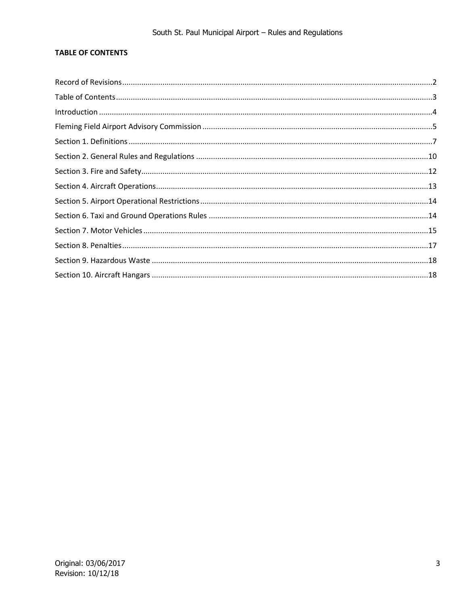# **TABLE OF CONTENTS**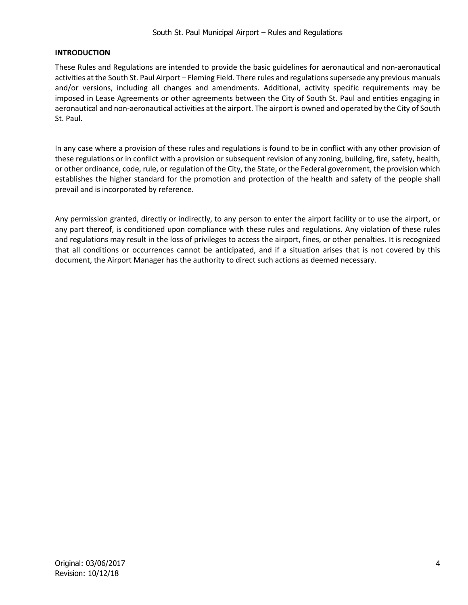## **INTRODUCTION**

These Rules and Regulations are intended to provide the basic guidelines for aeronautical and non-aeronautical activities at the South St. Paul Airport – Fleming Field. There rules and regulations supersede any previous manuals and/or versions, including all changes and amendments. Additional, activity specific requirements may be imposed in Lease Agreements or other agreements between the City of South St. Paul and entities engaging in aeronautical and non-aeronautical activities at the airport. The airport is owned and operated by the City of South St. Paul.

In any case where a provision of these rules and regulations is found to be in conflict with any other provision of these regulations or in conflict with a provision or subsequent revision of any zoning, building, fire, safety, health, or other ordinance, code, rule, or regulation of the City, the State, or the Federal government, the provision which establishes the higher standard for the promotion and protection of the health and safety of the people shall prevail and is incorporated by reference.

Any permission granted, directly or indirectly, to any person to enter the airport facility or to use the airport, or any part thereof, is conditioned upon compliance with these rules and regulations. Any violation of these rules and regulations may result in the loss of privileges to access the airport, fines, or other penalties. It is recognized that all conditions or occurrences cannot be anticipated, and if a situation arises that is not covered by this document, the Airport Manager has the authority to direct such actions as deemed necessary.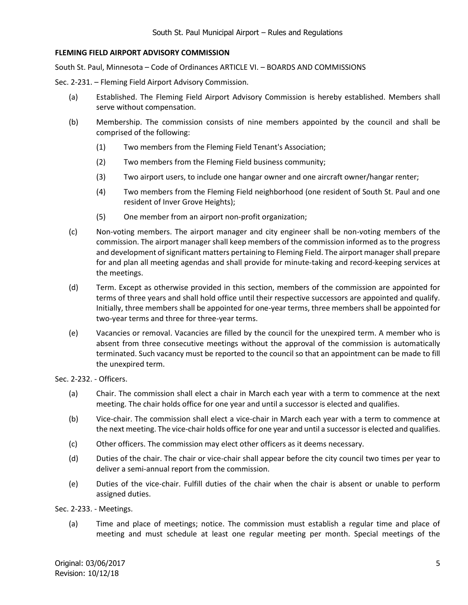## **FLEMING FIELD AIRPORT ADVISORY COMMISSION**

South St. Paul, Minnesota – Code of Ordinances ARTICLE VI. – BOARDS AND COMMISSIONS

Sec. 2-231. – Fleming Field Airport Advisory Commission.

- (a) Established. The Fleming Field Airport Advisory Commission is hereby established. Members shall serve without compensation.
- (b) Membership. The commission consists of nine members appointed by the council and shall be comprised of the following:
	- (1) Two members from the Fleming Field Tenant's Association;
	- (2) Two members from the Fleming Field business community;
	- (3) Two airport users, to include one hangar owner and one aircraft owner/hangar renter;
	- (4) Two members from the Fleming Field neighborhood (one resident of South St. Paul and one resident of Inver Grove Heights);
	- (5) One member from an airport non-profit organization;
- (c) Non-voting members. The airport manager and city engineer shall be non-voting members of the commission. The airport manager shall keep members of the commission informed as to the progress and development of significant matters pertaining to Fleming Field. The airport manager shall prepare for and plan all meeting agendas and shall provide for minute-taking and record-keeping services at the meetings.
- (d) Term. Except as otherwise provided in this section, members of the commission are appointed for terms of three years and shall hold office until their respective successors are appointed and qualify. Initially, three members shall be appointed for one-year terms, three members shall be appointed for two-year terms and three for three-year terms.
- (e) Vacancies or removal. Vacancies are filled by the council for the unexpired term. A member who is absent from three consecutive meetings without the approval of the commission is automatically terminated. Such vacancy must be reported to the council so that an appointment can be made to fill the unexpired term.

Sec. 2-232. - Officers.

- (a) Chair. The commission shall elect a chair in March each year with a term to commence at the next meeting. The chair holds office for one year and until a successor is elected and qualifies.
- (b) Vice-chair. The commission shall elect a vice-chair in March each year with a term to commence at the next meeting. The vice-chair holds office for one year and until a successor is elected and qualifies.
- (c) Other officers. The commission may elect other officers as it deems necessary.
- (d) Duties of the chair. The chair or vice-chair shall appear before the city council two times per year to deliver a semi-annual report from the commission.
- (e) Duties of the vice-chair. Fulfill duties of the chair when the chair is absent or unable to perform assigned duties.

Sec. 2-233. - Meetings.

(a) Time and place of meetings; notice. The commission must establish a regular time and place of meeting and must schedule at least one regular meeting per month. Special meetings of the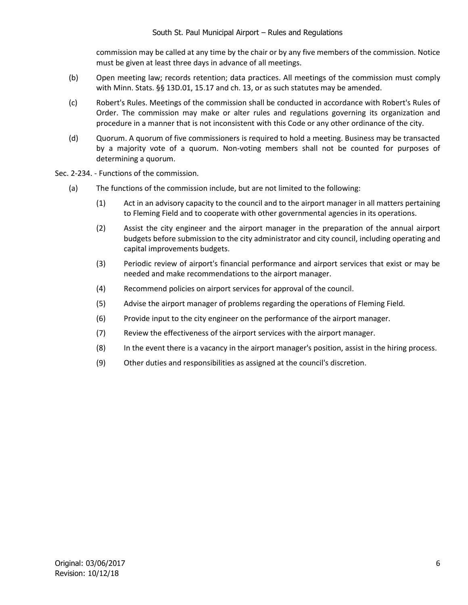commission may be called at any time by the chair or by any five members of the commission. Notice must be given at least three days in advance of all meetings.

- (b) Open meeting law; records retention; data practices. All meetings of the commission must comply with Minn. Stats. §§ 13D.01, 15.17 and ch. 13, or as such statutes may be amended.
- (c) Robert's Rules. Meetings of the commission shall be conducted in accordance with Robert's Rules of Order. The commission may make or alter rules and regulations governing its organization and procedure in a manner that is not inconsistent with this Code or any other ordinance of the city.
- (d) Quorum. A quorum of five commissioners is required to hold a meeting. Business may be transacted by a majority vote of a quorum. Non-voting members shall not be counted for purposes of determining a quorum.

Sec. 2-234. - Functions of the commission.

- (a) The functions of the commission include, but are not limited to the following:
	- (1) Act in an advisory capacity to the council and to the airport manager in all matters pertaining to Fleming Field and to cooperate with other governmental agencies in its operations.
	- (2) Assist the city engineer and the airport manager in the preparation of the annual airport budgets before submission to the city administrator and city council, including operating and capital improvements budgets.
	- (3) Periodic review of airport's financial performance and airport services that exist or may be needed and make recommendations to the airport manager.
	- (4) Recommend policies on airport services for approval of the council.
	- (5) Advise the airport manager of problems regarding the operations of Fleming Field.
	- (6) Provide input to the city engineer on the performance of the airport manager.
	- (7) Review the effectiveness of the airport services with the airport manager.
	- (8) In the event there is a vacancy in the airport manager's position, assist in the hiring process.
	- (9) Other duties and responsibilities as assigned at the council's discretion.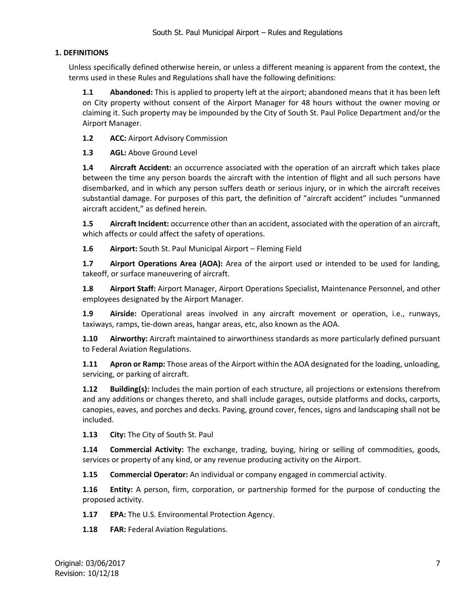# **1. DEFINITIONS**

Unless specifically defined otherwise herein, or unless a different meaning is apparent from the context, the terms used in these Rules and Regulations shall have the following definitions:

**1.1 Abandoned:** This is applied to property left at the airport; abandoned means that it has been left on City property without consent of the Airport Manager for 48 hours without the owner moving or claiming it. Such property may be impounded by the City of South St. Paul Police Department and/or the Airport Manager.

**1.2 ACC:** Airport Advisory Commission

**1.3 AGL:** Above Ground Level

**1.4 Aircraft Accident:** an occurrence associated with the operation of an aircraft which takes place between the time any person boards the aircraft with the intention of flight and all such persons have disembarked, and in which any person suffers death or serious injury, or in which the aircraft receives substantial damage. For purposes of this part, the definition of "aircraft accident" includes "unmanned aircraft accident," as defined herein.

**1.5 Aircraft Incident:** occurrence other than an accident, associated with the operation of an aircraft, which affects or could affect the safety of operations.

**1.6 Airport:** South St. Paul Municipal Airport – Fleming Field

**1.7 Airport Operations Area (AOA):** Area of the airport used or intended to be used for landing, takeoff, or surface maneuvering of aircraft.

**1.8 Airport Staff:** Airport Manager, Airport Operations Specialist, Maintenance Personnel, and other employees designated by the Airport Manager.

**1.9 Airside:** Operational areas involved in any aircraft movement or operation, i.e., runways, taxiways, ramps, tie-down areas, hangar areas, etc, also known as the AOA.

**1.10 Airworthy:** Aircraft maintained to airworthiness standards as more particularly defined pursuant to Federal Aviation Regulations.

**1.11 Apron or Ramp:** Those areas of the Airport within the AOA designated for the loading, unloading, servicing, or parking of aircraft.

**1.12 Building(s):** Includes the main portion of each structure, all projections or extensions therefrom and any additions or changes thereto, and shall include garages, outside platforms and docks, carports, canopies, eaves, and porches and decks. Paving, ground cover, fences, signs and landscaping shall not be included.

**1.13 City:** The City of South St. Paul

**1.14 Commercial Activity:** The exchange, trading, buying, hiring or selling of commodities, goods, services or property of any kind, or any revenue producing activity on the Airport.

**1.15 Commercial Operator:** An individual or company engaged in commercial activity.

**1.16 Entity:** A person, firm, corporation, or partnership formed for the purpose of conducting the proposed activity.

**1.17 EPA:** The U.S. Environmental Protection Agency.

**1.18 FAR:** Federal Aviation Regulations.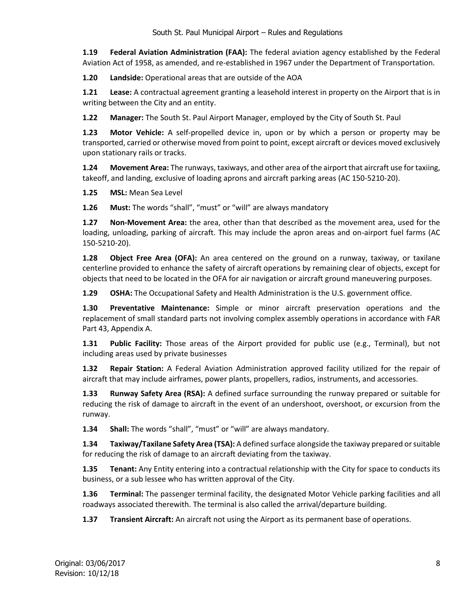**1.19 Federal Aviation Administration (FAA):** The federal aviation agency established by the Federal Aviation Act of 1958, as amended, and re-established in 1967 under the Department of Transportation.

**1.20 Landside:** Operational areas that are outside of the AOA

**1.21 Lease:** A contractual agreement granting a leasehold interest in property on the Airport that is in writing between the City and an entity.

**1.22 Manager:** The South St. Paul Airport Manager, employed by the City of South St. Paul

**1.23 Motor Vehicle:** A self-propelled device in, upon or by which a person or property may be transported, carried or otherwise moved from point to point, except aircraft or devices moved exclusively upon stationary rails or tracks.

**1.24 Movement Area:** The runways, taxiways, and other area of the airport that aircraft use for taxiing, takeoff, and landing, exclusive of loading aprons and aircraft parking areas (AC 150-5210-20).

**1.25 MSL:** Mean Sea Level

**1.26 Must:** The words "shall", "must" or "will" are always mandatory

**1.27 Non-Movement Area:** the area, other than that described as the movement area, used for the loading, unloading, parking of aircraft. This may include the apron areas and on-airport fuel farms (AC 150-5210-20).

**1.28 Object Free Area (OFA):** An area centered on the ground on a runway, taxiway, or taxilane centerline provided to enhance the safety of aircraft operations by remaining clear of objects, except for objects that need to be located in the OFA for air navigation or aircraft ground maneuvering purposes.

**1.29 OSHA:** The Occupational Safety and Health Administration is the U.S. government office.

**1.30 Preventative Maintenance:** Simple or minor aircraft preservation operations and the replacement of small standard parts not involving complex assembly operations in accordance with FAR Part 43, Appendix A.

**1.31 Public Facility:** Those areas of the Airport provided for public use (e.g., Terminal), but not including areas used by private businesses

**1.32 Repair Station:** A Federal Aviation Administration approved facility utilized for the repair of aircraft that may include airframes, power plants, propellers, radios, instruments, and accessories.

**1.33 Runway Safety Area (RSA):** A defined surface surrounding the runway prepared or suitable for reducing the risk of damage to aircraft in the event of an undershoot, overshoot, or excursion from the runway.

**1.34 Shall:** The words "shall", "must" or "will" are always mandatory.

**1.34 Taxiway/Taxilane Safety Area (TSA):** A defined surface alongside the taxiway prepared or suitable for reducing the risk of damage to an aircraft deviating from the taxiway.

**1.35 Tenant:** Any Entity entering into a contractual relationship with the City for space to conducts its business, or a sub lessee who has written approval of the City.

**1.36 Terminal:** The passenger terminal facility, the designated Motor Vehicle parking facilities and all roadways associated therewith. The terminal is also called the arrival/departure building.

**1.37 Transient Aircraft:** An aircraft not using the Airport as its permanent base of operations.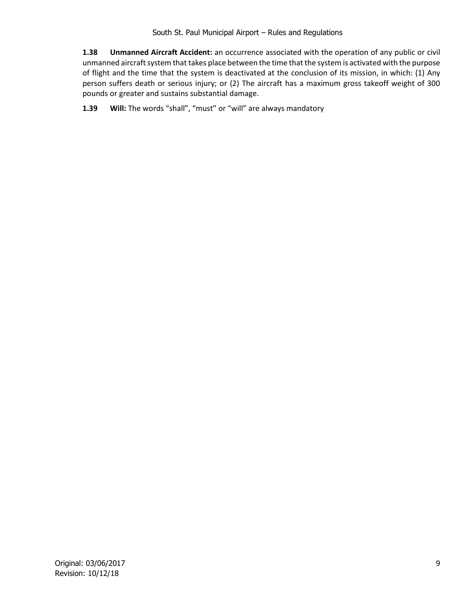**1.38 Unmanned Aircraft Accident:** an occurrence associated with the operation of any public or civil unmanned aircraft system that takes place between the time that the system is activated with the purpose of flight and the time that the system is deactivated at the conclusion of its mission, in which: (1) Any person suffers death or serious injury; or (2) The aircraft has a maximum gross takeoff weight of 300 pounds or greater and sustains substantial damage.

**1.39 Will:** The words "shall", "must" or "will" are always mandatory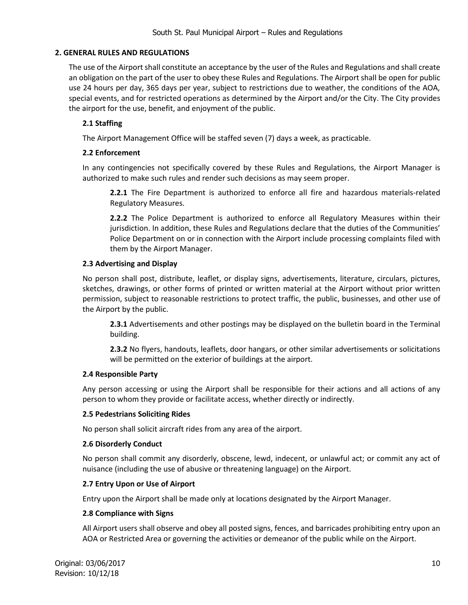## **2. GENERAL RULES AND REGULATIONS**

The use of the Airport shall constitute an acceptance by the user of the Rules and Regulations and shall create an obligation on the part of the user to obey these Rules and Regulations. The Airport shall be open for public use 24 hours per day, 365 days per year, subject to restrictions due to weather, the conditions of the AOA, special events, and for restricted operations as determined by the Airport and/or the City. The City provides the airport for the use, benefit, and enjoyment of the public.

## **2.1 Staffing**

The Airport Management Office will be staffed seven (7) days a week, as practicable.

## **2.2 Enforcement**

In any contingencies not specifically covered by these Rules and Regulations, the Airport Manager is authorized to make such rules and render such decisions as may seem proper.

**2.2.1** The Fire Department is authorized to enforce all fire and hazardous materials-related Regulatory Measures.

**2.2.2** The Police Department is authorized to enforce all Regulatory Measures within their jurisdiction. In addition, these Rules and Regulations declare that the duties of the Communities' Police Department on or in connection with the Airport include processing complaints filed with them by the Airport Manager.

## **2.3 Advertising and Display**

No person shall post, distribute, leaflet, or display signs, advertisements, literature, circulars, pictures, sketches, drawings, or other forms of printed or written material at the Airport without prior written permission, subject to reasonable restrictions to protect traffic, the public, businesses, and other use of the Airport by the public.

**2.3.1** Advertisements and other postings may be displayed on the bulletin board in the Terminal building.

**2.3.2** No flyers, handouts, leaflets, door hangars, or other similar advertisements or solicitations will be permitted on the exterior of buildings at the airport.

## **2.4 Responsible Party**

Any person accessing or using the Airport shall be responsible for their actions and all actions of any person to whom they provide or facilitate access, whether directly or indirectly.

## **2.5 Pedestrians Soliciting Rides**

No person shall solicit aircraft rides from any area of the airport.

## **2.6 Disorderly Conduct**

No person shall commit any disorderly, obscene, lewd, indecent, or unlawful act; or commit any act of nuisance (including the use of abusive or threatening language) on the Airport.

# **2.7 Entry Upon or Use of Airport**

Entry upon the Airport shall be made only at locations designated by the Airport Manager.

## **2.8 Compliance with Signs**

All Airport users shall observe and obey all posted signs, fences, and barricades prohibiting entry upon an AOA or Restricted Area or governing the activities or demeanor of the public while on the Airport.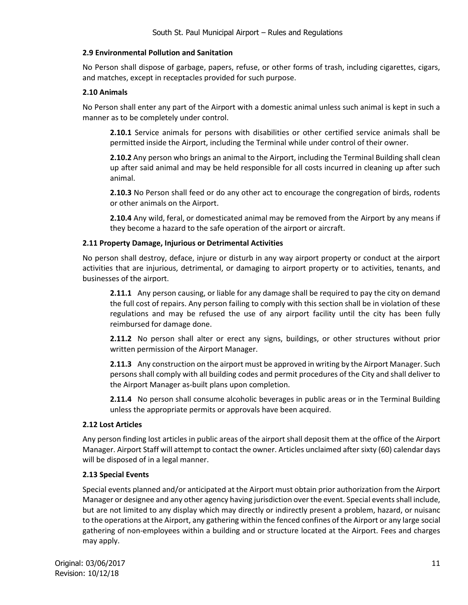## **2.9 Environmental Pollution and Sanitation**

No Person shall dispose of garbage, papers, refuse, or other forms of trash, including cigarettes, cigars, and matches, except in receptacles provided for such purpose.

## **2.10 Animals**

No Person shall enter any part of the Airport with a domestic animal unless such animal is kept in such a manner as to be completely under control.

**2.10.1** Service animals for persons with disabilities or other certified service animals shall be permitted inside the Airport, including the Terminal while under control of their owner.

**2.10.2** Any person who brings an animal to the Airport, including the Terminal Building shall clean up after said animal and may be held responsible for all costs incurred in cleaning up after such animal.

**2.10.3** No Person shall feed or do any other act to encourage the congregation of birds, rodents or other animals on the Airport.

**2.10.4** Any wild, feral, or domesticated animal may be removed from the Airport by any means if they become a hazard to the safe operation of the airport or aircraft.

## **2.11 Property Damage, Injurious or Detrimental Activities**

No person shall destroy, deface, injure or disturb in any way airport property or conduct at the airport activities that are injurious, detrimental, or damaging to airport property or to activities, tenants, and businesses of the airport.

**2.11.1** Any person causing, or liable for any damage shall be required to pay the city on demand the full cost of repairs. Any person failing to comply with this section shall be in violation of these regulations and may be refused the use of any airport facility until the city has been fully reimbursed for damage done.

**2.11.2** No person shall alter or erect any signs, buildings, or other structures without prior written permission of the Airport Manager.

**2.11.3** Any construction on the airport must be approved in writing by the Airport Manager. Such persons shall comply with all building codes and permit procedures of the City and shall deliver to the Airport Manager as-built plans upon completion.

**2.11.4** No person shall consume alcoholic beverages in public areas or in the Terminal Building unless the appropriate permits or approvals have been acquired.

## **2.12 Lost Articles**

Any person finding lost articles in public areas of the airport shall deposit them at the office of the Airport Manager. Airport Staff will attempt to contact the owner. Articles unclaimed after sixty (60) calendar days will be disposed of in a legal manner.

# **2.13 Special Events**

Special events planned and/or anticipated at the Airport must obtain prior authorization from the Airport Manager or designee and any other agency having jurisdiction over the event. Special events shall include, but are not limited to any display which may directly or indirectly present a problem, hazard, or nuisanc to the operations at the Airport, any gathering within the fenced confines of the Airport or any large social gathering of non-employees within a building and or structure located at the Airport. Fees and charges may apply.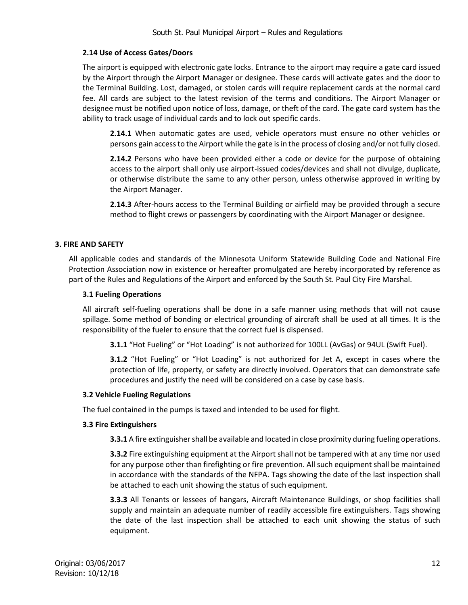## **2.14 Use of Access Gates/Doors**

The airport is equipped with electronic gate locks. Entrance to the airport may require a gate card issued by the Airport through the Airport Manager or designee. These cards will activate gates and the door to the Terminal Building. Lost, damaged, or stolen cards will require replacement cards at the normal card fee. All cards are subject to the latest revision of the terms and conditions. The Airport Manager or designee must be notified upon notice of loss, damage, or theft of the card. The gate card system has the ability to track usage of individual cards and to lock out specific cards.

**2.14.1** When automatic gates are used, vehicle operators must ensure no other vehicles or persons gain access to the Airport while the gate is in the process of closing and/or not fully closed.

**2.14.2** Persons who have been provided either a code or device for the purpose of obtaining access to the airport shall only use airport-issued codes/devices and shall not divulge, duplicate, or otherwise distribute the same to any other person, unless otherwise approved in writing by the Airport Manager.

**2.14.3** After-hours access to the Terminal Building or airfield may be provided through a secure method to flight crews or passengers by coordinating with the Airport Manager or designee.

## **3. FIRE AND SAFETY**

All applicable codes and standards of the Minnesota Uniform Statewide Building Code and National Fire Protection Association now in existence or hereafter promulgated are hereby incorporated by reference as part of the Rules and Regulations of the Airport and enforced by the South St. Paul City Fire Marshal.

## **3.1 Fueling Operations**

All aircraft self-fueling operations shall be done in a safe manner using methods that will not cause spillage. Some method of bonding or electrical grounding of aircraft shall be used at all times. It is the responsibility of the fueler to ensure that the correct fuel is dispensed.

**3.1.1** "Hot Fueling" or "Hot Loading" is not authorized for 100LL (AvGas) or 94UL (Swift Fuel).

**3.1.2** "Hot Fueling" or "Hot Loading" is not authorized for Jet A, except in cases where the protection of life, property, or safety are directly involved. Operators that can demonstrate safe procedures and justify the need will be considered on a case by case basis.

## **3.2 Vehicle Fueling Regulations**

The fuel contained in the pumps is taxed and intended to be used for flight.

## **3.3 Fire Extinguishers**

**3.3.1** A fire extinguisher shall be available and located in close proximity during fueling operations.

**3.3.2** Fire extinguishing equipment at the Airport shall not be tampered with at any time nor used for any purpose other than firefighting or fire prevention. All such equipment shall be maintained in accordance with the standards of the NFPA. Tags showing the date of the last inspection shall be attached to each unit showing the status of such equipment.

**3.3.3** All Tenants or lessees of hangars, Aircraft Maintenance Buildings, or shop facilities shall supply and maintain an adequate number of readily accessible fire extinguishers. Tags showing the date of the last inspection shall be attached to each unit showing the status of such equipment.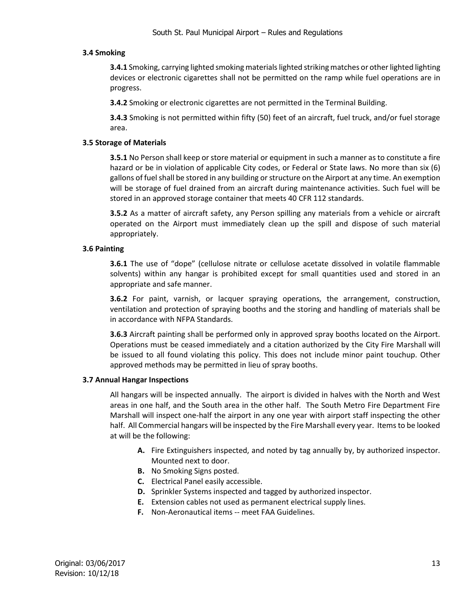## **3.4 Smoking**

**3.4.1** Smoking, carrying lighted smoking materialslighted striking matches or other lighted lighting devices or electronic cigarettes shall not be permitted on the ramp while fuel operations are in progress.

**3.4.2** Smoking or electronic cigarettes are not permitted in the Terminal Building.

**3.4.3** Smoking is not permitted within fifty (50) feet of an aircraft, fuel truck, and/or fuel storage area.

## **3.5 Storage of Materials**

**3.5.1** No Person shall keep or store material or equipment in such a manner as to constitute a fire hazard or be in violation of applicable City codes, or Federal or State laws. No more than six (6) gallons of fuel shall be stored in any building or structure on the Airport at any time. An exemption will be storage of fuel drained from an aircraft during maintenance activities. Such fuel will be stored in an approved storage container that meets 40 CFR 112 standards.

**3.5.2** As a matter of aircraft safety, any Person spilling any materials from a vehicle or aircraft operated on the Airport must immediately clean up the spill and dispose of such material appropriately.

## **3.6 Painting**

**3.6.1** The use of "dope" (cellulose nitrate or cellulose acetate dissolved in volatile flammable solvents) within any hangar is prohibited except for small quantities used and stored in an appropriate and safe manner.

**3.6.2** For paint, varnish, or lacquer spraying operations, the arrangement, construction, ventilation and protection of spraying booths and the storing and handling of materials shall be in accordance with NFPA Standards.

**3.6.3** Aircraft painting shall be performed only in approved spray booths located on the Airport. Operations must be ceased immediately and a citation authorized by the City Fire Marshall will be issued to all found violating this policy. This does not include minor paint touchup. Other approved methods may be permitted in lieu of spray booths.

## **3.7 Annual Hangar Inspections**

All hangars will be inspected annually. The airport is divided in halves with the North and West areas in one half, and the South area in the other half. The South Metro Fire Department Fire Marshall will inspect one-half the airport in any one year with airport staff inspecting the other half. All Commercial hangars will be inspected by the Fire Marshall every year. Items to be looked at will be the following:

- **A.** Fire Extinguishers inspected, and noted by tag annually by, by authorized inspector. Mounted next to door.
- **B.** No Smoking Signs posted.
- **C.** Electrical Panel easily accessible.
- **D.** Sprinkler Systems inspected and tagged by authorized inspector.
- **E.** Extension cables not used as permanent electrical supply lines.
- **F.** Non-Aeronautical items -- meet FAA Guidelines.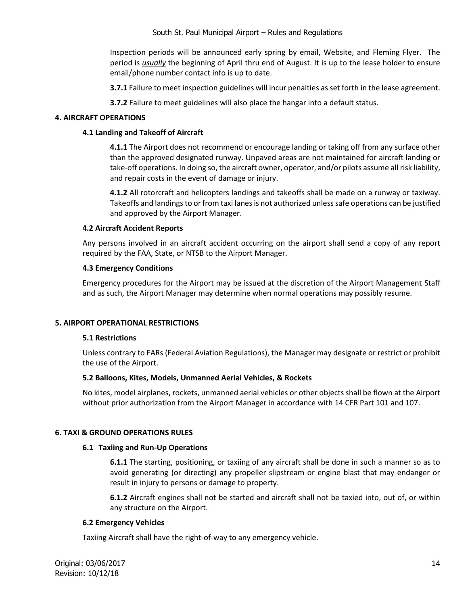Inspection periods will be announced early spring by email, Website, and Fleming Flyer. The period is *usually* the beginning of April thru end of August. It is up to the lease holder to ensure email/phone number contact info is up to date.

**3.7.1** Failure to meet inspection guidelines will incur penalties as set forth in the lease agreement.

**3.7.2** Failure to meet guidelines will also place the hangar into a default status.

## **4. AIRCRAFT OPERATIONS**

## **4.1 Landing and Takeoff of Aircraft**

**4.1.1** The Airport does not recommend or encourage landing or taking off from any surface other than the approved designated runway. Unpaved areas are not maintained for aircraft landing or take-off operations. In doing so, the aircraft owner, operator, and/or pilots assume all risk liability, and repair costs in the event of damage or injury.

**4.1.2** All rotorcraft and helicopters landings and takeoffs shall be made on a runway or taxiway. Takeoffs and landings to or from taxi lanes is not authorized unless safe operations can be justified and approved by the Airport Manager.

## **4.2 Aircraft Accident Reports**

Any persons involved in an aircraft accident occurring on the airport shall send a copy of any report required by the FAA, State, or NTSB to the Airport Manager.

## **4.3 Emergency Conditions**

Emergency procedures for the Airport may be issued at the discretion of the Airport Management Staff and as such, the Airport Manager may determine when normal operations may possibly resume.

## **5. AIRPORT OPERATIONAL RESTRICTIONS**

## **5.1 Restrictions**

Unless contrary to FARs (Federal Aviation Regulations), the Manager may designate or restrict or prohibit the use of the Airport.

## **5.2 Balloons, Kites, Models, Unmanned Aerial Vehicles, & Rockets**

No kites, model airplanes, rockets, unmanned aerial vehicles or other objects shall be flown at the Airport without prior authorization from the Airport Manager in accordance with 14 CFR Part 101 and 107.

## **6. TAXI & GROUND OPERATIONS RULES**

#### **6.1 Taxiing and Run-Up Operations**

**6.1.1** The starting, positioning, or taxiing of any aircraft shall be done in such a manner so as to avoid generating (or directing) any propeller slipstream or engine blast that may endanger or result in injury to persons or damage to property.

**6.1.2** Aircraft engines shall not be started and aircraft shall not be taxied into, out of, or within any structure on the Airport.

## **6.2 Emergency Vehicles**

Taxiing Aircraft shall have the right-of-way to any emergency vehicle.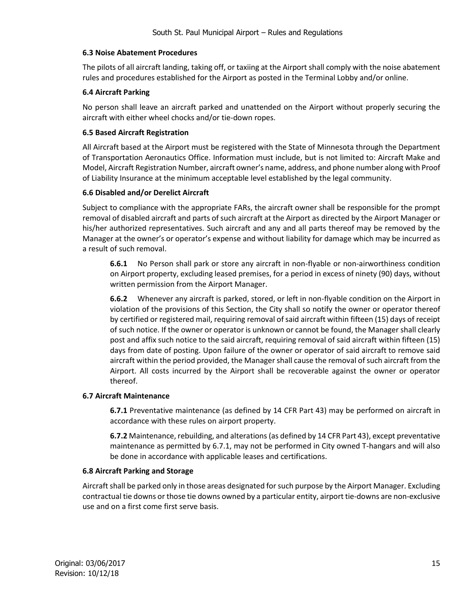## **6.3 Noise Abatement Procedures**

The pilots of all aircraft landing, taking off, or taxiing at the Airport shall comply with the noise abatement rules and procedures established for the Airport as posted in the Terminal Lobby and/or online.

## **6.4 Aircraft Parking**

No person shall leave an aircraft parked and unattended on the Airport without properly securing the aircraft with either wheel chocks and/or tie-down ropes.

## **6.5 Based Aircraft Registration**

All Aircraft based at the Airport must be registered with the State of Minnesota through the Department of Transportation Aeronautics Office. Information must include, but is not limited to: Aircraft Make and Model, Aircraft Registration Number, aircraft owner's name, address, and phone number along with Proof of Liability Insurance at the minimum acceptable level established by the legal community.

## **6.6 Disabled and/or Derelict Aircraft**

Subject to compliance with the appropriate FARs, the aircraft owner shall be responsible for the prompt removal of disabled aircraft and parts of such aircraft at the Airport as directed by the Airport Manager or his/her authorized representatives. Such aircraft and any and all parts thereof may be removed by the Manager at the owner's or operator's expense and without liability for damage which may be incurred as a result of such removal.

**6.6.1** No Person shall park or store any aircraft in non-flyable or non-airworthiness condition on Airport property, excluding leased premises, for a period in excess of ninety (90) days, without written permission from the Airport Manager.

**6.6.2** Whenever any aircraft is parked, stored, or left in non-flyable condition on the Airport in violation of the provisions of this Section, the City shall so notify the owner or operator thereof by certified or registered mail, requiring removal of said aircraft within fifteen (15) days of receipt of such notice. If the owner or operator is unknown or cannot be found, the Manager shall clearly post and affix such notice to the said aircraft, requiring removal of said aircraft within fifteen (15) days from date of posting. Upon failure of the owner or operator of said aircraft to remove said aircraft within the period provided, the Manager shall cause the removal of such aircraft from the Airport. All costs incurred by the Airport shall be recoverable against the owner or operator thereof.

## **6.7 Aircraft Maintenance**

**6.7.1** Preventative maintenance (as defined by 14 CFR Part 43) may be performed on aircraft in accordance with these rules on airport property.

**6.7.2** Maintenance, rebuilding, and alterations(as defined by 14 CFR Part 43), except preventative maintenance as permitted by 6.7.1, may not be performed in City owned T-hangars and will also be done in accordance with applicable leases and certifications.

# **6.8 Aircraft Parking and Storage**

Aircraft shall be parked only in those areas designated for such purpose by the Airport Manager. Excluding contractual tie downs or those tie downs owned by a particular entity, airport tie-downs are non-exclusive use and on a first come first serve basis.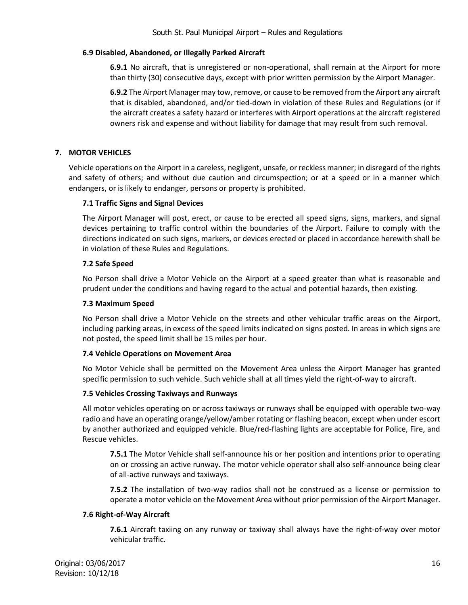## **6.9 Disabled, Abandoned, or Illegally Parked Aircraft**

**6.9.1** No aircraft, that is unregistered or non-operational, shall remain at the Airport for more than thirty (30) consecutive days, except with prior written permission by the Airport Manager.

**6.9.2** The Airport Manager may tow, remove, or cause to be removed from the Airport any aircraft that is disabled, abandoned, and/or tied-down in violation of these Rules and Regulations (or if the aircraft creates a safety hazard or interferes with Airport operations at the aircraft registered owners risk and expense and without liability for damage that may result from such removal.

# **7. MOTOR VEHICLES**

Vehicle operations on the Airport in a careless, negligent, unsafe, or reckless manner; in disregard of the rights and safety of others; and without due caution and circumspection; or at a speed or in a manner which endangers, or is likely to endanger, persons or property is prohibited.

## **7.1 Traffic Signs and Signal Devices**

The Airport Manager will post, erect, or cause to be erected all speed signs, signs, markers, and signal devices pertaining to traffic control within the boundaries of the Airport. Failure to comply with the directions indicated on such signs, markers, or devices erected or placed in accordance herewith shall be in violation of these Rules and Regulations.

## **7.2 Safe Speed**

No Person shall drive a Motor Vehicle on the Airport at a speed greater than what is reasonable and prudent under the conditions and having regard to the actual and potential hazards, then existing.

## **7.3 Maximum Speed**

No Person shall drive a Motor Vehicle on the streets and other vehicular traffic areas on the Airport, including parking areas, in excess of the speed limits indicated on signs posted. In areas in which signs are not posted, the speed limit shall be 15 miles per hour.

## **7.4 Vehicle Operations on Movement Area**

No Motor Vehicle shall be permitted on the Movement Area unless the Airport Manager has granted specific permission to such vehicle. Such vehicle shall at all times yield the right-of-way to aircraft.

## **7.5 Vehicles Crossing Taxiways and Runways**

All motor vehicles operating on or across taxiways or runways shall be equipped with operable two-way radio and have an operating orange/yellow/amber rotating or flashing beacon, except when under escort by another authorized and equipped vehicle. Blue/red-flashing lights are acceptable for Police, Fire, and Rescue vehicles.

**7.5.1** The Motor Vehicle shall self-announce his or her position and intentions prior to operating on or crossing an active runway. The motor vehicle operator shall also self-announce being clear of all-active runways and taxiways.

**7.5.2** The installation of two-way radios shall not be construed as a license or permission to operate a motor vehicle on the Movement Area without prior permission of the Airport Manager.

## **7.6 Right-of-Way Aircraft**

**7.6.1** Aircraft taxiing on any runway or taxiway shall always have the right-of-way over motor vehicular traffic.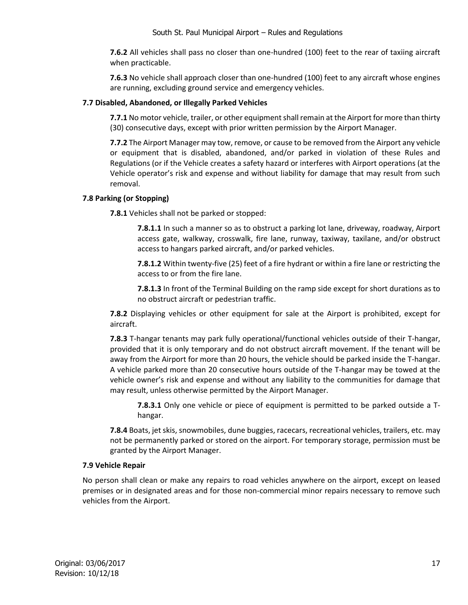**7.6.2** All vehicles shall pass no closer than one-hundred (100) feet to the rear of taxiing aircraft when practicable.

**7.6.3** No vehicle shall approach closer than one-hundred (100) feet to any aircraft whose engines are running, excluding ground service and emergency vehicles.

## **7.7 Disabled, Abandoned, or Illegally Parked Vehicles**

**7.7.1** No motor vehicle, trailer, or other equipment shall remain at the Airport for more than thirty (30) consecutive days, except with prior written permission by the Airport Manager.

**7.7.2** The Airport Manager may tow, remove, or cause to be removed from the Airport any vehicle or equipment that is disabled, abandoned, and/or parked in violation of these Rules and Regulations (or if the Vehicle creates a safety hazard or interferes with Airport operations (at the Vehicle operator's risk and expense and without liability for damage that may result from such removal.

## **7.8 Parking (or Stopping)**

**7.8.1** Vehicles shall not be parked or stopped:

**7.8.1.1** In such a manner so as to obstruct a parking lot lane, driveway, roadway, Airport access gate, walkway, crosswalk, fire lane, runway, taxiway, taxilane, and/or obstruct access to hangars parked aircraft, and/or parked vehicles.

**7.8.1.2** Within twenty-five (25) feet of a fire hydrant or within a fire lane or restricting the access to or from the fire lane.

**7.8.1.3** In front of the Terminal Building on the ramp side except for short durations as to no obstruct aircraft or pedestrian traffic.

**7.8.2** Displaying vehicles or other equipment for sale at the Airport is prohibited, except for aircraft.

**7.8.3** T-hangar tenants may park fully operational/functional vehicles outside of their T-hangar, provided that it is only temporary and do not obstruct aircraft movement. If the tenant will be away from the Airport for more than 20 hours, the vehicle should be parked inside the T-hangar. A vehicle parked more than 20 consecutive hours outside of the T-hangar may be towed at the vehicle owner's risk and expense and without any liability to the communities for damage that may result, unless otherwise permitted by the Airport Manager.

**7.8.3.1** Only one vehicle or piece of equipment is permitted to be parked outside a Thangar.

**7.8.4** Boats, jet skis, snowmobiles, dune buggies, racecars, recreational vehicles, trailers, etc. may not be permanently parked or stored on the airport. For temporary storage, permission must be granted by the Airport Manager.

## **7.9 Vehicle Repair**

No person shall clean or make any repairs to road vehicles anywhere on the airport, except on leased premises or in designated areas and for those non-commercial minor repairs necessary to remove such vehicles from the Airport.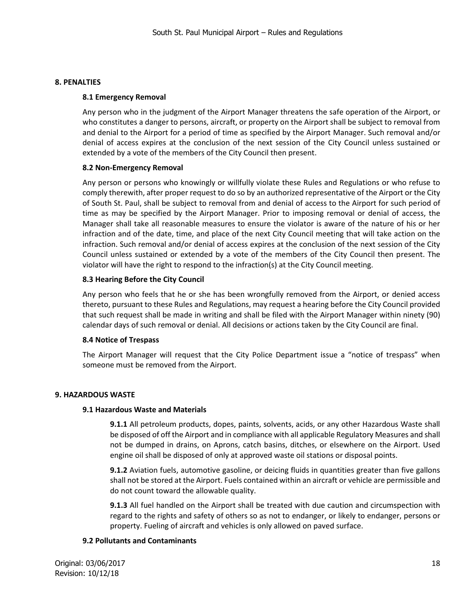#### **8. PENALTIES**

#### **8.1 Emergency Removal**

Any person who in the judgment of the Airport Manager threatens the safe operation of the Airport, or who constitutes a danger to persons, aircraft, or property on the Airport shall be subject to removal from and denial to the Airport for a period of time as specified by the Airport Manager. Such removal and/or denial of access expires at the conclusion of the next session of the City Council unless sustained or extended by a vote of the members of the City Council then present.

#### **8.2 Non-Emergency Removal**

Any person or persons who knowingly or willfully violate these Rules and Regulations or who refuse to comply therewith, after proper request to do so by an authorized representative of the Airport or the City of South St. Paul, shall be subject to removal from and denial of access to the Airport for such period of time as may be specified by the Airport Manager. Prior to imposing removal or denial of access, the Manager shall take all reasonable measures to ensure the violator is aware of the nature of his or her infraction and of the date, time, and place of the next City Council meeting that will take action on the infraction. Such removal and/or denial of access expires at the conclusion of the next session of the City Council unless sustained or extended by a vote of the members of the City Council then present. The violator will have the right to respond to the infraction(s) at the City Council meeting.

## **8.3 Hearing Before the City Council**

Any person who feels that he or she has been wrongfully removed from the Airport, or denied access thereto, pursuant to these Rules and Regulations, may request a hearing before the City Council provided that such request shall be made in writing and shall be filed with the Airport Manager within ninety (90) calendar days of such removal or denial. All decisions or actions taken by the City Council are final.

#### **8.4 Notice of Trespass**

The Airport Manager will request that the City Police Department issue a "notice of trespass" when someone must be removed from the Airport.

## **9. HAZARDOUS WASTE**

#### **9.1 Hazardous Waste and Materials**

**9.1.1** All petroleum products, dopes, paints, solvents, acids, or any other Hazardous Waste shall be disposed of off the Airport and in compliance with all applicable Regulatory Measures and shall not be dumped in drains, on Aprons, catch basins, ditches, or elsewhere on the Airport. Used engine oil shall be disposed of only at approved waste oil stations or disposal points.

**9.1.2** Aviation fuels, automotive gasoline, or deicing fluids in quantities greater than five gallons shall not be stored at the Airport. Fuels contained within an aircraft or vehicle are permissible and do not count toward the allowable quality.

**9.1.3** All fuel handled on the Airport shall be treated with due caution and circumspection with regard to the rights and safety of others so as not to endanger, or likely to endanger, persons or property. Fueling of aircraft and vehicles is only allowed on paved surface.

## **9.2 Pollutants and Contaminants**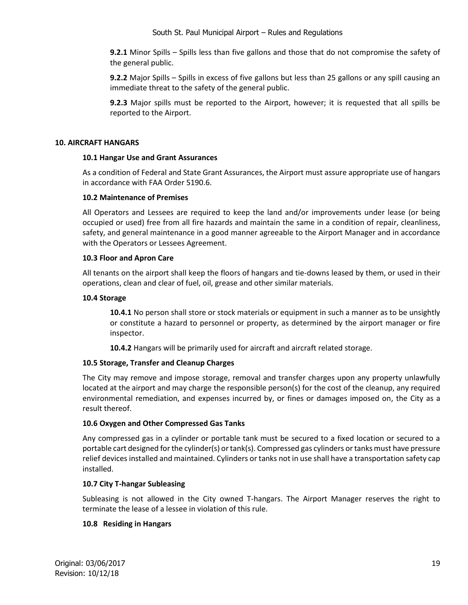**9.2.1** Minor Spills – Spills less than five gallons and those that do not compromise the safety of the general public.

**9.2.2** Major Spills – Spills in excess of five gallons but less than 25 gallons or any spill causing an immediate threat to the safety of the general public.

**9.2.3** Major spills must be reported to the Airport, however; it is requested that all spills be reported to the Airport.

## **10. AIRCRAFT HANGARS**

## **10.1 Hangar Use and Grant Assurances**

As a condition of Federal and State Grant Assurances, the Airport must assure appropriate use of hangars in accordance with FAA Order 5190.6.

## **10.2 Maintenance of Premises**

All Operators and Lessees are required to keep the land and/or improvements under lease (or being occupied or used) free from all fire hazards and maintain the same in a condition of repair, cleanliness, safety, and general maintenance in a good manner agreeable to the Airport Manager and in accordance with the Operators or Lessees Agreement.

## **10.3 Floor and Apron Care**

All tenants on the airport shall keep the floors of hangars and tie-downs leased by them, or used in their operations, clean and clear of fuel, oil, grease and other similar materials.

## **10.4 Storage**

**10.4.1** No person shall store or stock materials or equipment in such a manner as to be unsightly or constitute a hazard to personnel or property, as determined by the airport manager or fire inspector.

**10.4.2** Hangars will be primarily used for aircraft and aircraft related storage.

# **10.5 Storage, Transfer and Cleanup Charges**

The City may remove and impose storage, removal and transfer charges upon any property unlawfully located at the airport and may charge the responsible person(s) for the cost of the cleanup, any required environmental remediation, and expenses incurred by, or fines or damages imposed on, the City as a result thereof.

# **10.6 Oxygen and Other Compressed Gas Tanks**

Any compressed gas in a cylinder or portable tank must be secured to a fixed location or secured to a portable cart designed for the cylinder(s) or tank(s). Compressed gas cylinders or tanks must have pressure relief devices installed and maintained. Cylinders or tanks not in use shall have a transportation safety cap installed.

## **10.7 City T-hangar Subleasing**

Subleasing is not allowed in the City owned T-hangars. The Airport Manager reserves the right to terminate the lease of a lessee in violation of this rule.

# **10.8 Residing in Hangars**